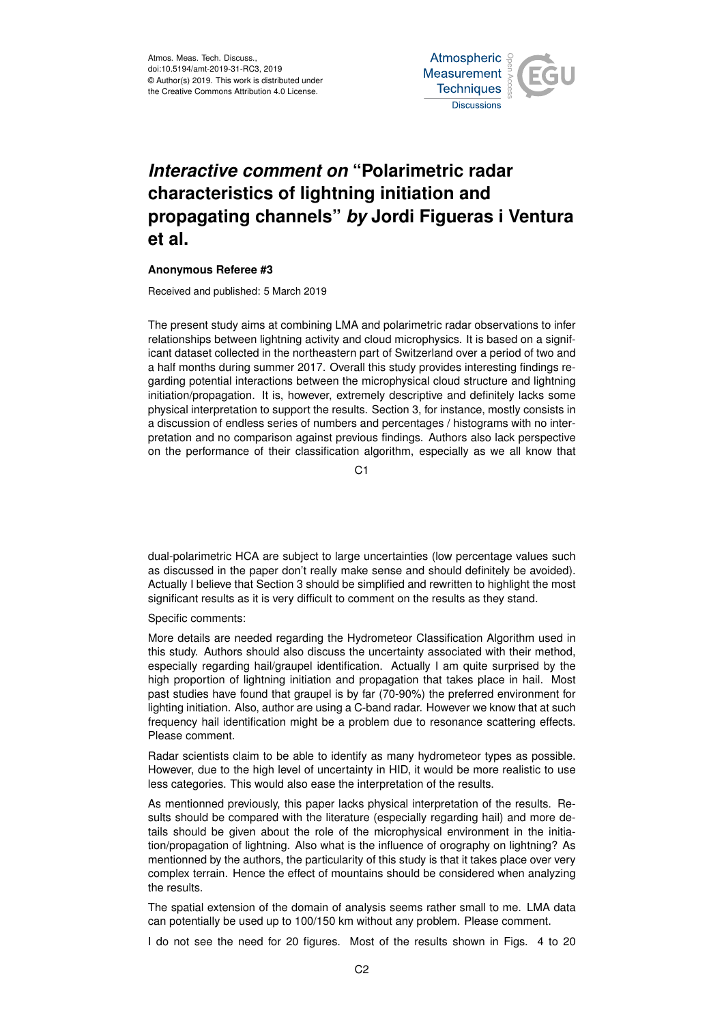

## *Interactive comment on* **"Polarimetric radar characteristics of lightning initiation and propagating channels"** *by* **Jordi Figueras i Ventura et al.**

## **Anonymous Referee #3**

Received and published: 5 March 2019

The present study aims at combining LMA and polarimetric radar observations to infer relationships between lightning activity and cloud microphysics. It is based on a significant dataset collected in the northeastern part of Switzerland over a period of two and a half months during summer 2017. Overall this study provides interesting findings regarding potential interactions between the microphysical cloud structure and lightning initiation/propagation. It is, however, extremely descriptive and definitely lacks some physical interpretation to support the results. Section 3, for instance, mostly consists in a discussion of endless series of numbers and percentages / histograms with no interpretation and no comparison against previous findings. Authors also lack perspective on the performance of their classification algorithm, especially as we all know that

C1

dual-polarimetric HCA are subject to large uncertainties (low percentage values such as discussed in the paper don't really make sense and should definitely be avoided). Actually I believe that Section 3 should be simplified and rewritten to highlight the most significant results as it is very difficult to comment on the results as they stand.

Specific comments:

More details are needed regarding the Hydrometeor Classification Algorithm used in this study. Authors should also discuss the uncertainty associated with their method, especially regarding hail/graupel identification. Actually I am quite surprised by the high proportion of lightning initiation and propagation that takes place in hail. Most past studies have found that graupel is by far (70-90%) the preferred environment for lighting initiation. Also, author are using a C-band radar. However we know that at such frequency hail identification might be a problem due to resonance scattering effects. Please comment.

Radar scientists claim to be able to identify as many hydrometeor types as possible. However, due to the high level of uncertainty in HID, it would be more realistic to use less categories. This would also ease the interpretation of the results.

As mentionned previously, this paper lacks physical interpretation of the results. Results should be compared with the literature (especially regarding hail) and more details should be given about the role of the microphysical environment in the initiation/propagation of lightning. Also what is the influence of orography on lightning? As mentionned by the authors, the particularity of this study is that it takes place over very complex terrain. Hence the effect of mountains should be considered when analyzing the results.

The spatial extension of the domain of analysis seems rather small to me. LMA data can potentially be used up to 100/150 km without any problem. Please comment.

I do not see the need for 20 figures. Most of the results shown in Figs. 4 to 20